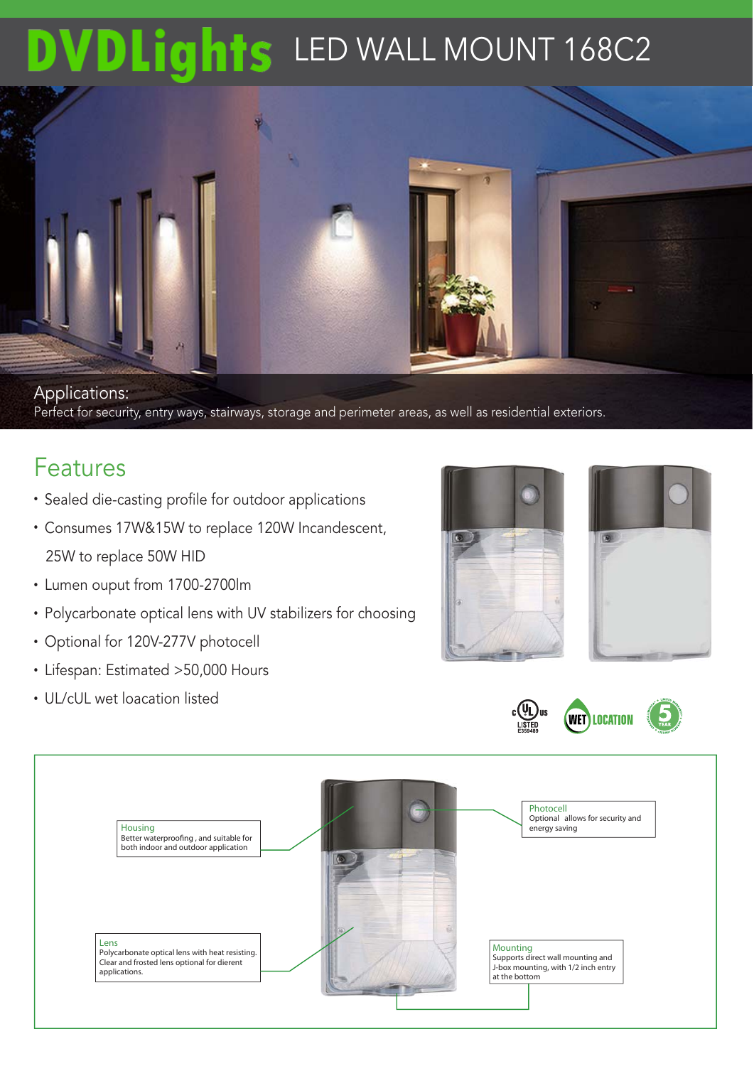## DVDLights LED WALL MOUNT 168C2



### Features

- Sealed die-casting profile for outdoor applications
- Consumes 17W&15W to replace 120W Incandescent, 25W to replace 50W HID
- Lumen ouput from 1700-2700lm
- Polycarbonate optical lens with UV stabilizers for choosing
- Optional for 120V-277V photocell
- Lifespan: Estimated >50,000 Hours
- UL/cUL wet loacation listed